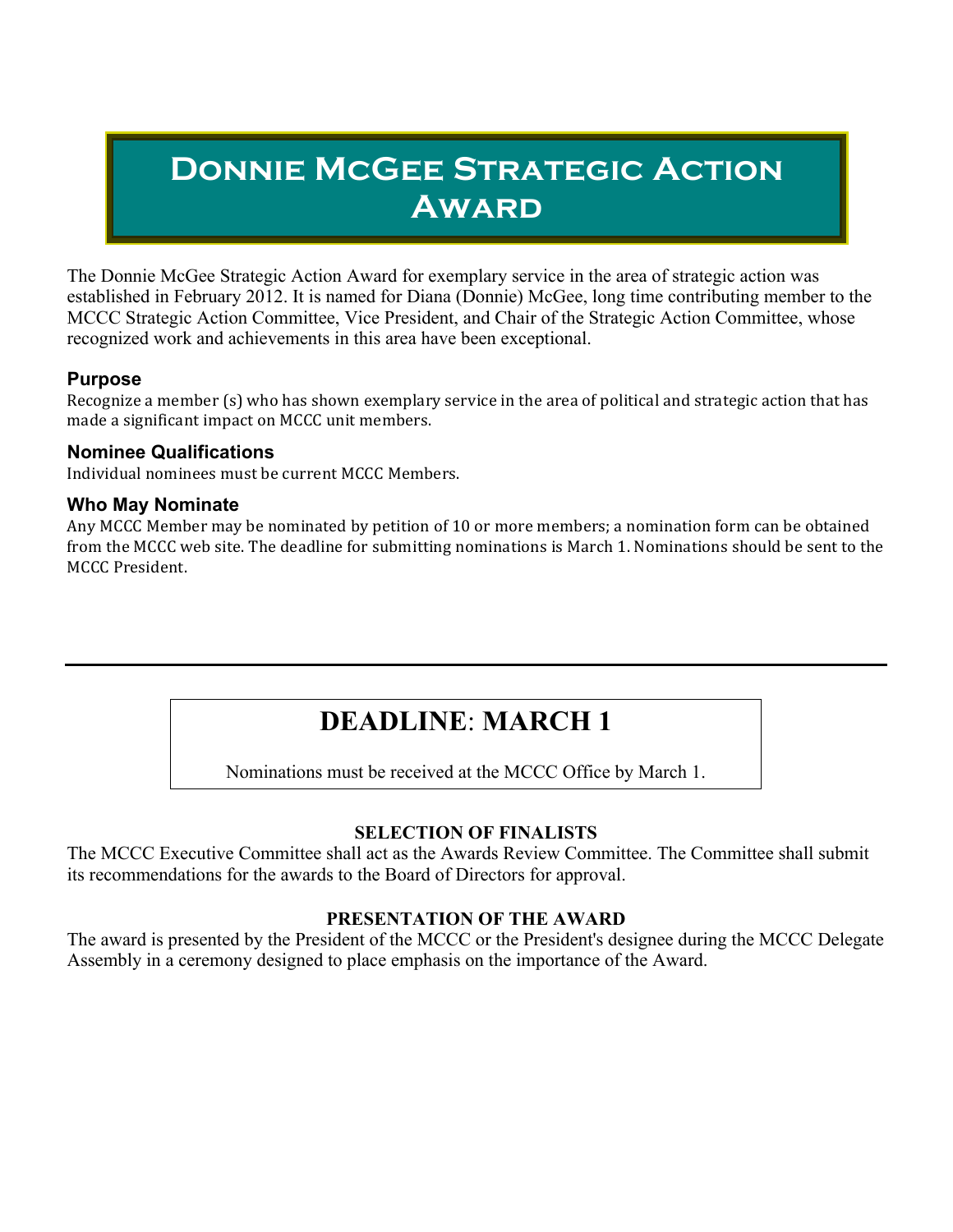# **Donnie McGee Strategic Action Award**

The Donnie McGee Strategic Action Award for exemplary service in the area of strategic action was established in February 2012. It is named for Diana (Donnie) McGee, long time contributing member to the MCCC Strategic Action Committee, Vice President, and Chair of the Strategic Action Committee, whose recognized work and achievements in this area have been exceptional.

### **Purpose**

Recognize a member  $(s)$  who has shown exemplary service in the area of political and strategic action that has made a significant impact on MCCC unit members.

### **Nominee Qualifications**

Individual nominees must be current MCCC Members.

### **Who May Nominate**

Any MCCC Member may be nominated by petition of 10 or more members; a nomination form can be obtained from the MCCC web site. The deadline for submitting nominations is March 1. Nominations should be sent to the MCCC President.

# **DEADLINE**: **MARCH 1**

Nominations must be received at the MCCC Office by March 1.

### **SELECTION OF FINALISTS**

The MCCC Executive Committee shall act as the Awards Review Committee. The Committee shall submit its recommendations for the awards to the Board of Directors for approval.

## **PRESENTATION OF THE AWARD**

The award is presented by the President of the MCCC or the President's designee during the MCCC Delegate Assembly in a ceremony designed to place emphasis on the importance of the Award.